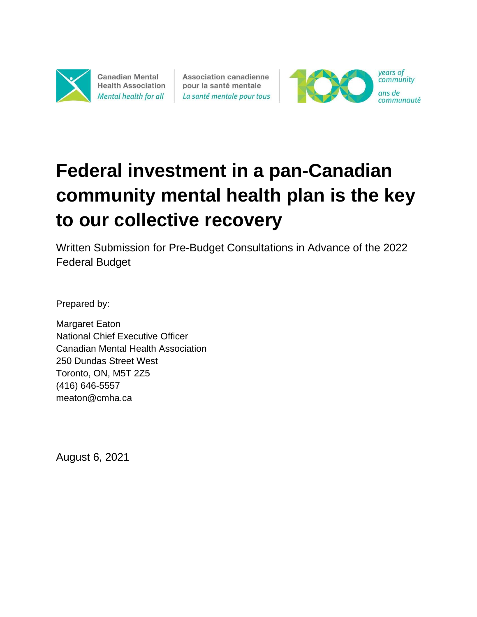

**Canadian Mental Health Association** Mental health for all

**Association canadienne** pour la santé mentale La santé mentale pour tous



# **Federal investment in a pan-Canadian community mental health plan is the key to our collective recovery**

Written Submission for Pre-Budget Consultations in Advance of the 2022 Federal Budget

Prepared by:

Margaret Eaton National Chief Executive Officer Canadian Mental Health Association 250 Dundas Street West Toronto, ON, M5T 2Z5 (416) 646-5557 meaton@cmha.ca

August 6, 2021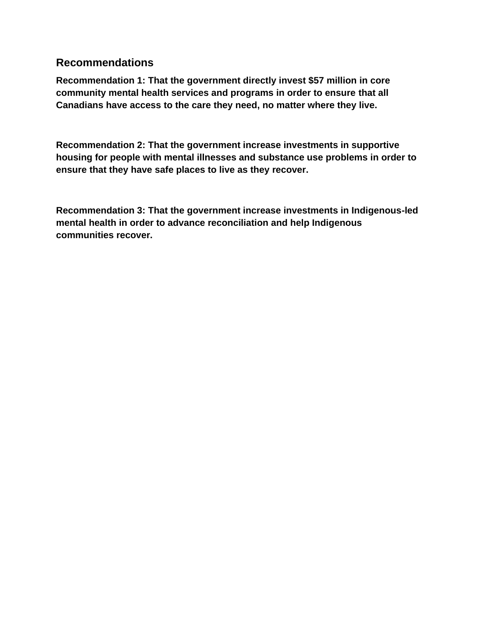#### **Recommendations**

**Recommendation 1: That the government directly invest \$57 million in core community mental health services and programs in order to ensure that all Canadians have access to the care they need, no matter where they live.**

**Recommendation 2: That the government increase investments in supportive housing for people with mental illnesses and substance use problems in order to ensure that they have safe places to live as they recover.** 

**Recommendation 3: That the government increase investments in Indigenous-led mental health in order to advance reconciliation and help Indigenous communities recover.**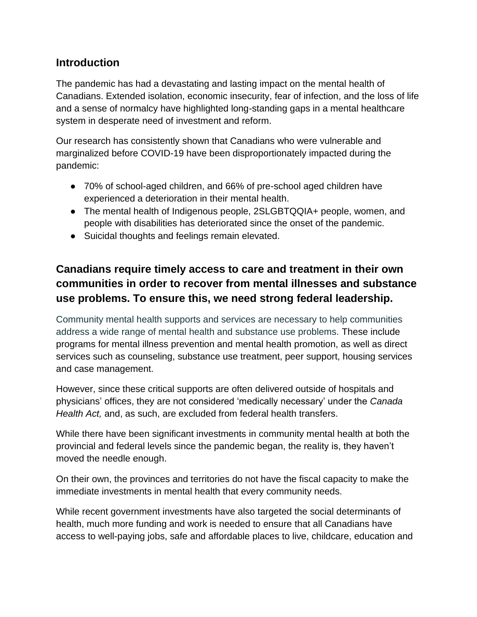### **Introduction**

The pandemic has had a devastating and lasting impact on the mental health of Canadians. Extended isolation, economic insecurity, fear of infection, and the loss of life and a sense of normalcy have highlighted long-standing gaps in a mental healthcare system in desperate need of investment and reform.

Our research has consistently shown that Canadians who were vulnerable and marginalized before COVID-19 have been disproportionately impacted during the pandemic:

- 70% of school-aged children, and 66% of pre-school aged children have experienced a deterioration in their mental health.
- The mental health of Indigenous people, 2SLGBTQQIA+ people, women, and people with disabilities has deteriorated since the onset of the pandemic.
- Suicidal thoughts and feelings remain elevated.

# **Canadians require timely access to care and treatment in their own communities in order to recover from mental illnesses and substance use problems. To ensure this, we need strong federal leadership.**

Community mental health supports and services are necessary to help communities address a wide range of mental health and substance use problems. These include programs for mental illness prevention and mental health promotion, as well as direct services such as counseling, substance use treatment, peer support, housing services and case management.

However, since these critical supports are often delivered outside of hospitals and physicians' offices, they are not considered 'medically necessary' under the *Canada Health Act,* and, as such, are excluded from federal health transfers.

While there have been significant investments in community mental health at both the provincial and federal levels since the pandemic began, the reality is, they haven't moved the needle enough.

On their own, the provinces and territories do not have the fiscal capacity to make the immediate investments in mental health that every community needs.

While recent government investments have also targeted the social determinants of health, much more funding and work is needed to ensure that all Canadians have access to well-paying jobs, safe and affordable places to live, childcare, education and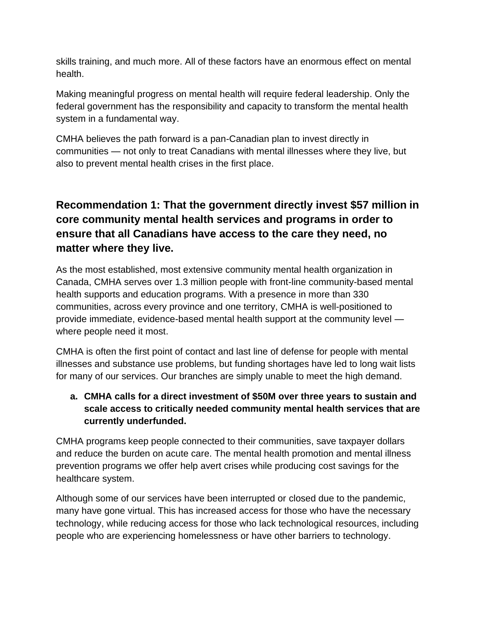skills training, and much more. All of these factors have an enormous effect on mental health.

Making meaningful progress on mental health will require federal leadership. Only the federal government has the responsibility and capacity to transform the mental health system in a fundamental way.

CMHA believes the path forward is a pan-Canadian plan to invest directly in communities — not only to treat Canadians with mental illnesses where they live, but also to prevent mental health crises in the first place.

# **Recommendation 1: That the government directly invest \$57 million in core community mental health services and programs in order to ensure that all Canadians have access to the care they need, no matter where they live.**

As the most established, most extensive community mental health organization in Canada, CMHA serves over 1.3 million people with front-line community-based mental health supports and education programs. With a presence in more than 330 communities, across every province and one territory, CMHA is well-positioned to provide immediate, evidence-based mental health support at the community level where people need it most.

CMHA is often the first point of contact and last line of defense for people with mental illnesses and substance use problems, but funding shortages have led to long wait lists for many of our services. Our branches are simply unable to meet the high demand.

#### **a. CMHA calls for a direct investment of \$50M over three years to sustain and scale access to critically needed community mental health services that are currently underfunded.**

CMHA programs keep people connected to their communities, save taxpayer dollars and reduce the burden on acute care. The mental health promotion and mental illness prevention programs we offer help avert crises while producing cost savings for the healthcare system.

Although some of our services have been interrupted or closed due to the pandemic, many have gone virtual. This has increased access for those who have the necessary technology, while reducing access for those who lack technological resources, including people who are experiencing homelessness or have other barriers to technology.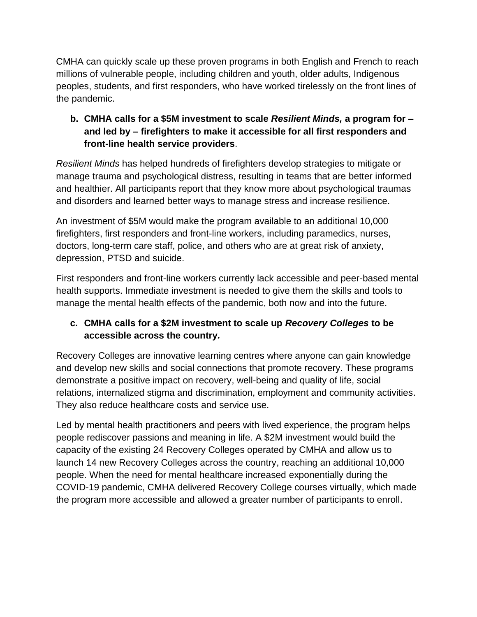CMHA can quickly scale up these proven programs in both English and French to reach millions of vulnerable people, including children and youth, older adults, Indigenous peoples, students, and first responders, who have worked tirelessly on the front lines of the pandemic.

#### **b. CMHA calls for a \$5M investment to scale** *Resilient Minds,* **a program for – and led by – firefighters to make it accessible for all first responders and front-line health service providers**.

*Resilient Minds* has helped hundreds of firefighters develop strategies to mitigate or manage trauma and psychological distress, resulting in teams that are better informed and healthier. All participants report that they know more about psychological traumas and disorders and learned better ways to manage stress and increase resilience.

An investment of \$5M would make the program available to an additional 10,000 firefighters, first responders and front-line workers, including paramedics, nurses, doctors, long-term care staff, police, and others who are at great risk of anxiety, depression, PTSD and suicide.

First responders and front-line workers currently lack accessible and peer-based mental health supports. Immediate investment is needed to give them the skills and tools to manage the mental health effects of the pandemic, both now and into the future.

#### **c. CMHA calls for a \$2M investment to scale up** *Recovery Colleges* **to be accessible across the country***.*

Recovery Colleges are innovative learning centres where anyone can gain knowledge and develop new skills and social connections that promote recovery. These programs demonstrate a positive impact on recovery, well-being and quality of life, social relations, internalized stigma and discrimination, employment and community activities. They also reduce healthcare costs and service use.

Led by mental health practitioners and peers with lived experience, the program helps people rediscover passions and meaning in life. A \$2M investment would build the capacity of the existing 24 Recovery Colleges operated by CMHA and allow us to launch 14 new Recovery Colleges across the country, reaching an additional 10,000 people. When the need for mental healthcare increased exponentially during the COVID-19 pandemic, CMHA delivered Recovery College courses virtually, which made the program more accessible and allowed a greater number of participants to enroll.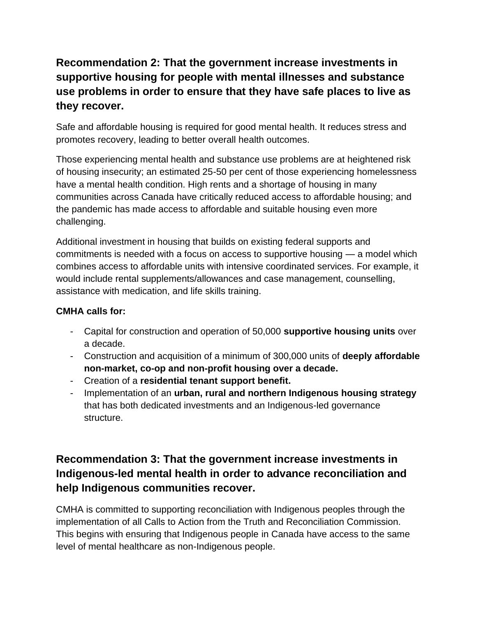# **Recommendation 2: That the government increase investments in supportive housing for people with mental illnesses and substance use problems in order to ensure that they have safe places to live as they recover.**

Safe and affordable housing is required for good mental health. It reduces stress and promotes recovery, leading to better overall health outcomes.

Those experiencing mental health and substance use problems are at heightened risk of housing insecurity; an estimated 25-50 per cent of those experiencing homelessness have a mental health condition. High rents and a shortage of housing in many communities across Canada have critically reduced access to affordable housing; and the pandemic has made access to affordable and suitable housing even more challenging.

Additional investment in housing that builds on existing federal supports and commitments is needed with a focus on access to supportive housing — a model which combines access to affordable units with intensive coordinated services. For example, it would include rental supplements/allowances and case management, counselling, assistance with medication, and life skills training.

#### **CMHA calls for:**

- Capital for construction and operation of 50,000 **supportive housing units** over a decade.
- Construction and acquisition of a minimum of 300,000 units of **deeply affordable non-market, co-op and non-profit housing over a decade.**
- Creation of a **residential tenant support benefit.**
- Implementation of an **urban, rural and northern Indigenous housing strategy** that has both dedicated investments and an Indigenous-led governance structure.

# **Recommendation 3: That the government increase investments in Indigenous-led mental health in order to advance reconciliation and help Indigenous communities recover.**

CMHA is committed to supporting reconciliation with Indigenous peoples through the implementation of all Calls to Action from the Truth and Reconciliation Commission. This begins with ensuring that Indigenous people in Canada have access to the same level of mental healthcare as non-Indigenous people.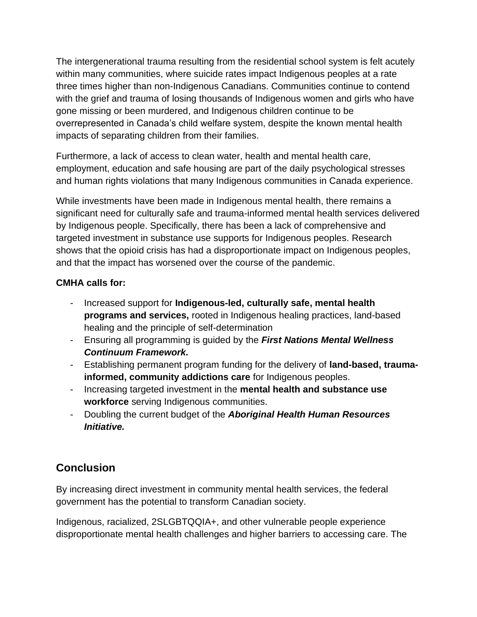The intergenerational trauma resulting from the residential school system is felt acutely within many communities, where suicide rates impact Indigenous peoples at a rate three times higher than non-Indigenous Canadians. Communities continue to contend with the grief and trauma of losing thousands of Indigenous women and girls who have gone missing or been murdered, and Indigenous children continue to be overrepresented in Canada's child welfare system, despite the known mental health impacts of separating children from their families.

Furthermore, a lack of access to clean water, health and mental health care, employment, education and safe housing are part of the daily psychological stresses and human rights violations that many Indigenous communities in Canada experience.

While investments have been made in Indigenous mental health, there remains a significant need for culturally safe and trauma-informed mental health services delivered by Indigenous people. Specifically, there has been a lack of comprehensive and targeted investment in substance use supports for Indigenous peoples. Research shows that the opioid crisis has had a disproportionate impact on Indigenous peoples, and that the impact has worsened over the course of the pandemic.

#### **CMHA calls for:**

- Increased support for **Indigenous-led, culturally safe, mental health programs and services,** rooted in Indigenous healing practices, land-based healing and the principle of self-determination
- Ensuring all programming is guided by the *First Nations Mental Wellness Continuum Framework.*
- Establishing permanent program funding for the delivery of **land-based, traumainformed, community addictions care** for Indigenous peoples.
- Increasing targeted investment in the **mental health and substance use workforce** serving Indigenous communities.
- Doubling the current budget of the *Aboriginal Health Human Resources Initiative.*

## **Conclusion**

By increasing direct investment in community mental health services, the federal government has the potential to transform Canadian society.

Indigenous, racialized, 2SLGBTQQIA+, and other vulnerable people experience disproportionate mental health challenges and higher barriers to accessing care. The